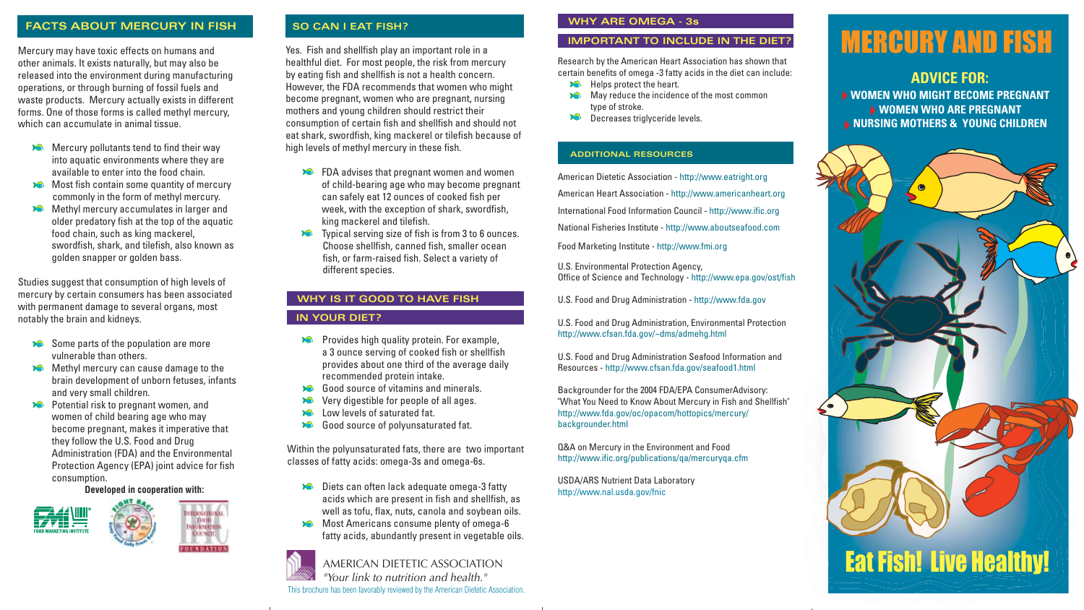Yes. Fish and shellfish play an important role in a healthful diet. For most people, the risk from mercury by eating fish and shellfish is not a health concern. However, the FDA recommends that women who might become pregnant, women who are pregnant, nursing mothers and young children should restrict their consumption of certain fish and shellfish and should not eat shark, swordfish, king mackerel or tilefish because of high levels of methyl mercury in these fish.

- **EX** FDA advises that pregnant women and women of child-bearing age who may become pregnant can safely eat 12 ounces of cooked fish per week, with the exception of shark, swordfish, king mackerel and tilefish.
- **EXECUTE:** Typical serving size of fish is from 3 to 6 ounces. Choose shellfish, canned fish, smaller ocean fish, or farm-raised fish. Select a variety of different species.
- Mercury pollutants tend to find their way into aquatic environments where they are available to enter into the food chain.
- Most fish contain some quantity of mercury commonly in the form of methyl mercury.
- Methyl mercury accumulates in larger and older predatory fish at the top of the aquatic food chain, such as king mackerel, swordfish, shark, and tilefish, also known as golden snapper or golden bass.

# MERCURY AND FISH

# **FACTS ABOUT MERCURY IN FISH**

Mercury may have toxic effects on humans and other animals. It exists naturally, but may also be released into the environment during manufacturing operations, or through burning of fossil fuels and waste products. Mercury actually exists in different forms. One of those forms is called methyl mercury, which can accumulate in animal tissue.

- Some parts of the population are more vulnerable than others.
- Methyl mercury can cause damage to the brain development of unborn fetuses, infants and very small children.
- Potential risk to pregnant women, and women of child bearing age who may become pregnant, makes it imperative that they follow the U.S. Food and Drug Administration (FDA) and the Environmental Protection Agency (EPA) joint advice for fish consumption.
- May reduce the incidence of the most common X type of stroke.
- **Decreases triglyceride levels.**

- Diets can often lack adequate omega-3 fatty acids which are present in fish and shellfish, as well as tofu, flax, nuts, canola and soybean oils.
- Most Americans consume plenty of omega-6 fatty acids, abundantly present in vegetable oils.

Studies suggest that consumption of high levels of mercury by certain consumers has been associated with permanent damage to several organs, most notably the brain and kidneys.

# **ADDITIONAL RESOURCES**

# **SO CAN I EAT FISH?**

AMERICAN DIETETIC ASSOCIATION *"Your link to nutrition and health."*

This brochure has been favorably reviewed by the American Dietetic Association.



# Eat Fish! Live Healthy!

Research by the American Heart Association has shown that certain benefits of omega -3 fatty acids in the diet can include:

Helps protect the heart.

Į

# **WHY ARE OMEGA - 3s**

# **IMPORTANT TO INCLUDE IN THE DIET?**

# **WHY IS IT GOOD TO HAVE FISH**

### **IN YOUR DIET?**

- Provides high quality protein. For example, a 3 ounce serving of cooked fish or shellfish provides about one third of the average daily recommended protein intake.
- Good source of vitamins and minerals.
- **Very digestible for people of all ages.**
- **Low levels of saturated fat.**
- Good source of polyunsaturated fat.

# **ADVICE FOR:**

**WOMEN WHO MIGHT BECOME PREGNANT WOMEN WHO ARE PREGNANT NURSING MOTHERS & YOUNG CHILDREN** 

**Developed in cooperation with:**



Within the polyunsaturated fats, there are two important classes of fatty acids: omega-3s and omega-6s.

American Dietetic Association - http://www.eatright.org American Heart Association - http://www.americanheart.org International Food Information Council - http://www.ific.org National Fisheries Institute - http://www.aboutseafood.com

Food Marketing Institute - http://www.fmi.org

U.S. Environmental Protection Agency, Office of Science and Technology - http://www.epa.gov/ost/fish

U.S. Food and Drug Administration - http://www.fda.gov

U.S. Food and Drug Administration, Environmental Protection http://www.cfsan.fda.gov/~dms/admehg.html

U.S. Food and Drug Administration Seafood Information and Resources - http://www.cfsan.fda.gov/seafood1.html

Backgrounder for the 2004 FDA/EPA ConsumerAdvisory: "What You Need to Know About Mercury in Fish and Shellfish" http://www.fda.gov/oc/opacom/hottopics/mercury/ backgrounder.html

Q&A on Mercury in the Environment and Food http://www.ific.org/publications/qa/mercuryqa.cfm

USDA/ARS Nutrient Data Laboratory http://www.nal.usda.gov/fnic